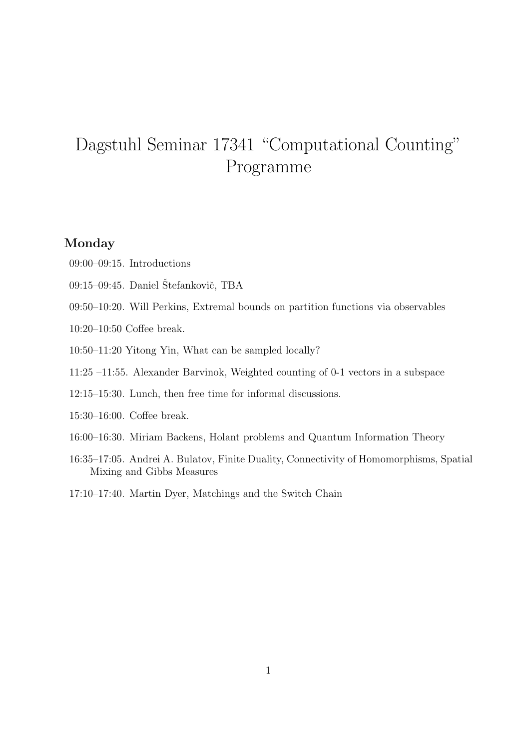# Dagstuhl Seminar 17341 "Computational Counting" Programme

## Monday

- 09:00–09:15. Introductions
- 09:15–09:45. Daniel Štefankovič, TBA
- 09:50–10:20. Will Perkins, Extremal bounds on partition functions via observables
- 10:20–10:50 Coffee break.
- 10:50–11:20 Yitong Yin, What can be sampled locally?
- 11:25 –11:55. Alexander Barvinok, Weighted counting of 0-1 vectors in a subspace
- 12:15–15:30. Lunch, then free time for informal discussions.
- 15:30–16:00. Coffee break.
- 16:00–16:30. Miriam Backens, Holant problems and Quantum Information Theory
- 16:35–17:05. Andrei A. Bulatov, Finite Duality, Connectivity of Homomorphisms, Spatial Mixing and Gibbs Measures
- 17:10–17:40. Martin Dyer, Matchings and the Switch Chain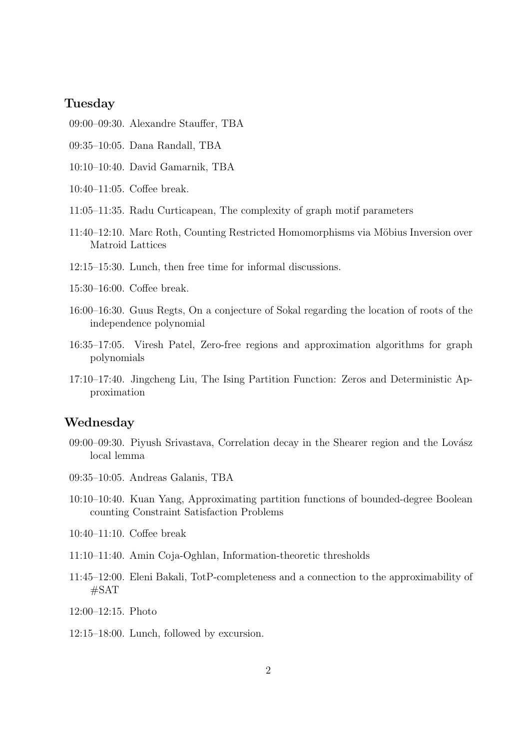### Tuesday

- 09:00–09:30. Alexandre Stauffer, TBA
- 09:35–10:05. Dana Randall, TBA
- 10:10–10:40. David Gamarnik, TBA
- 10:40–11:05. Coffee break.
- 11:05–11:35. Radu Curticapean, The complexity of graph motif parameters
- 11:40–12:10. Marc Roth, Counting Restricted Homomorphisms via Möbius Inversion over Matroid Lattices
- 12:15–15:30. Lunch, then free time for informal discussions.
- 15:30–16:00. Coffee break.
- 16:00–16:30. Guus Regts, On a conjecture of Sokal regarding the location of roots of the independence polynomial
- 16:35–17:05. Viresh Patel, Zero-free regions and approximation algorithms for graph polynomials
- 17:10–17:40. Jingcheng Liu, The Ising Partition Function: Zeros and Deterministic Approximation

#### Wednesday

- $09:00-09:30$ . Piyush Srivastava, Correlation decay in the Shearer region and the Lovász local lemma
- 09:35–10:05. Andreas Galanis, TBA
- 10:10–10:40. Kuan Yang, Approximating partition functions of bounded-degree Boolean counting Constraint Satisfaction Problems
- 10:40–11:10. Coffee break
- 11:10–11:40. Amin Coja-Oghlan, Information-theoretic thresholds
- 11:45–12:00. Eleni Bakali, TotP-completeness and a connection to the approximability of #SAT
- 12:00–12:15. Photo
- 12:15–18:00. Lunch, followed by excursion.